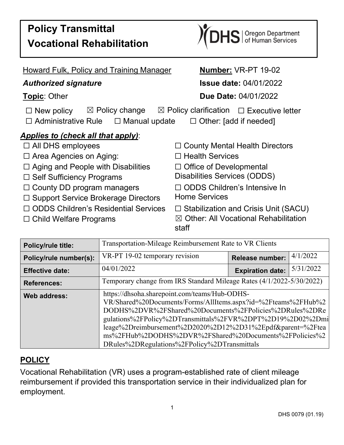

| <b>Howard Fulk, Policy and Training Manager</b>                                                                                                                                                | Number: VR-PT 19-02                                       |  |  |  |
|------------------------------------------------------------------------------------------------------------------------------------------------------------------------------------------------|-----------------------------------------------------------|--|--|--|
| <b>Authorized signature</b>                                                                                                                                                                    | <b>Issue date: 04/01/2022</b>                             |  |  |  |
| <b>Topic: Other</b>                                                                                                                                                                            | <b>Due Date: 04/01/2022</b>                               |  |  |  |
| $\boxtimes$ Policy change<br>$\boxtimes$ Policy clarification $\Box$ Executive letter<br>$\Box$ New policy<br>$\Box$ Administrative Rule $\Box$ Manual update<br>$\Box$ Other: [add if needed] |                                                           |  |  |  |
| <b>Applies to (check all that apply):</b>                                                                                                                                                      |                                                           |  |  |  |
| $\Box$ All DHS employees                                                                                                                                                                       | $\Box$ County Mental Health Directors                     |  |  |  |
| $\Box$ Area Agencies on Aging:                                                                                                                                                                 | $\Box$ Health Services                                    |  |  |  |
| $\Box$ Aging and People with Disabilities                                                                                                                                                      | $\Box$ Office of Developmental                            |  |  |  |
| $\Box$ Self Sufficiency Programs                                                                                                                                                               | Disabilities Services (ODDS)                              |  |  |  |
| $\Box$ County DD program managers                                                                                                                                                              | $\Box$ ODDS Children's Intensive In                       |  |  |  |
| $\Box$ Support Service Brokerage Directors                                                                                                                                                     | <b>Home Services</b>                                      |  |  |  |
| $\Box$ ODDS Children's Residential Services                                                                                                                                                    | $\Box$ Stabilization and Crisis Unit (SACU)               |  |  |  |
| $\Box$ Child Welfare Programs                                                                                                                                                                  | $\boxtimes$ Other: All Vocational Rehabilitation<br>staff |  |  |  |

| <b>Policy/rule title:</b> | Transportation-Mileage Reimbursement Rate to VR Clients                                                                                                                                                                                                                                                                                                                                                         |                         |           |  |
|---------------------------|-----------------------------------------------------------------------------------------------------------------------------------------------------------------------------------------------------------------------------------------------------------------------------------------------------------------------------------------------------------------------------------------------------------------|-------------------------|-----------|--|
| Policy/rule number(s):    | VR-PT 19-02 temporary revision                                                                                                                                                                                                                                                                                                                                                                                  | Release number:         | 4/1/2022  |  |
| <b>Effective date:</b>    | 04/01/2022                                                                                                                                                                                                                                                                                                                                                                                                      | <b>Expiration date:</b> | 5/31/2022 |  |
| <b>References:</b>        | Temporary change from IRS Standard Mileage Rates (4/1/2022-5/30/2022)                                                                                                                                                                                                                                                                                                                                           |                         |           |  |
| Web address:              | https://dhsoha.sharepoint.com/teams/Hub-ODHS-<br>VR/Shared%20Documents/Forms/AllItems.aspx?id=%2Fteams%2FHub%2<br>DODHS%2DVR%2FShared%20Documents%2FPolicies%2DRules%2DRe<br>gulations%2FPolicy%2DTransmittals%2FVR%2DPT%2D19%2D02%2Dmi<br>leage%2Dreimbursement%2D2020%2D12%2D31%2Epdf&parent=%2Ftea<br>ms%2FHub%2DODHS%2DVR%2FShared%20Documents%2FPolicies%2<br>DRules%2DRegulations%2FPolicy%2DTransmittals |                         |           |  |

## **POLICY**

Vocational Rehabilitation (VR) uses a program-established rate of client mileage reimbursement if provided this transportation service in their individualized plan for employment.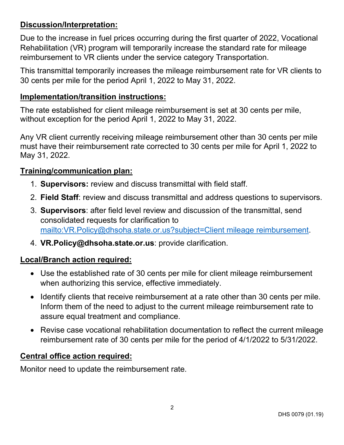## **Discussion/Interpretation:**

Due to the increase in fuel prices occurring during the first quarter of 2022, Vocational Rehabilitation (VR) program will temporarily increase the standard rate for mileage reimbursement to VR clients under the service category Transportation.

This transmittal temporarily increases the mileage reimbursement rate for VR clients to 30 cents per mile for the period April 1, 2022 to May 31, 2022.

### **Implementation/transition instructions:**

The rate established for client mileage reimbursement is set at 30 cents per mile, without exception for the period April 1, 2022 to May 31, 2022.

Any VR client currently receiving mileage reimbursement other than 30 cents per mile must have their reimbursement rate corrected to 30 cents per mile for April 1, 2022 to May 31, 2022.

## **Training/communication plan:**

- 1. **Supervisors:** review and discuss transmittal with field staff.
- 2. **Field Staff**: review and discuss transmittal and address questions to supervisors.
- 3. **Supervisors**: after field level review and discussion of the transmittal, send consolidated requests for clarification to [mailto:VR.Policy@dhsoha.state.or.us?subject=Client mileage reimbursement.](mailto:VR.Policy@dhsoha.state.or.us?subject=Client%20mileage%20reimbursement)
- 4. **VR.Policy@dhsoha.state.or.us**: provide clarification.

#### **Local/Branch action required:**

- Use the established rate of 30 cents per mile for client mileage reimbursement when authorizing this service, effective immediately.
- Identify clients that receive reimbursement at a rate other than 30 cents per mile. Inform them of the need to adjust to the current mileage reimbursement rate to assure equal treatment and compliance.
- Revise case vocational rehabilitation documentation to reflect the current mileage reimbursement rate of 30 cents per mile for the period of 4/1/2022 to 5/31/2022.

#### **Central office action required:**

Monitor need to update the reimbursement rate.